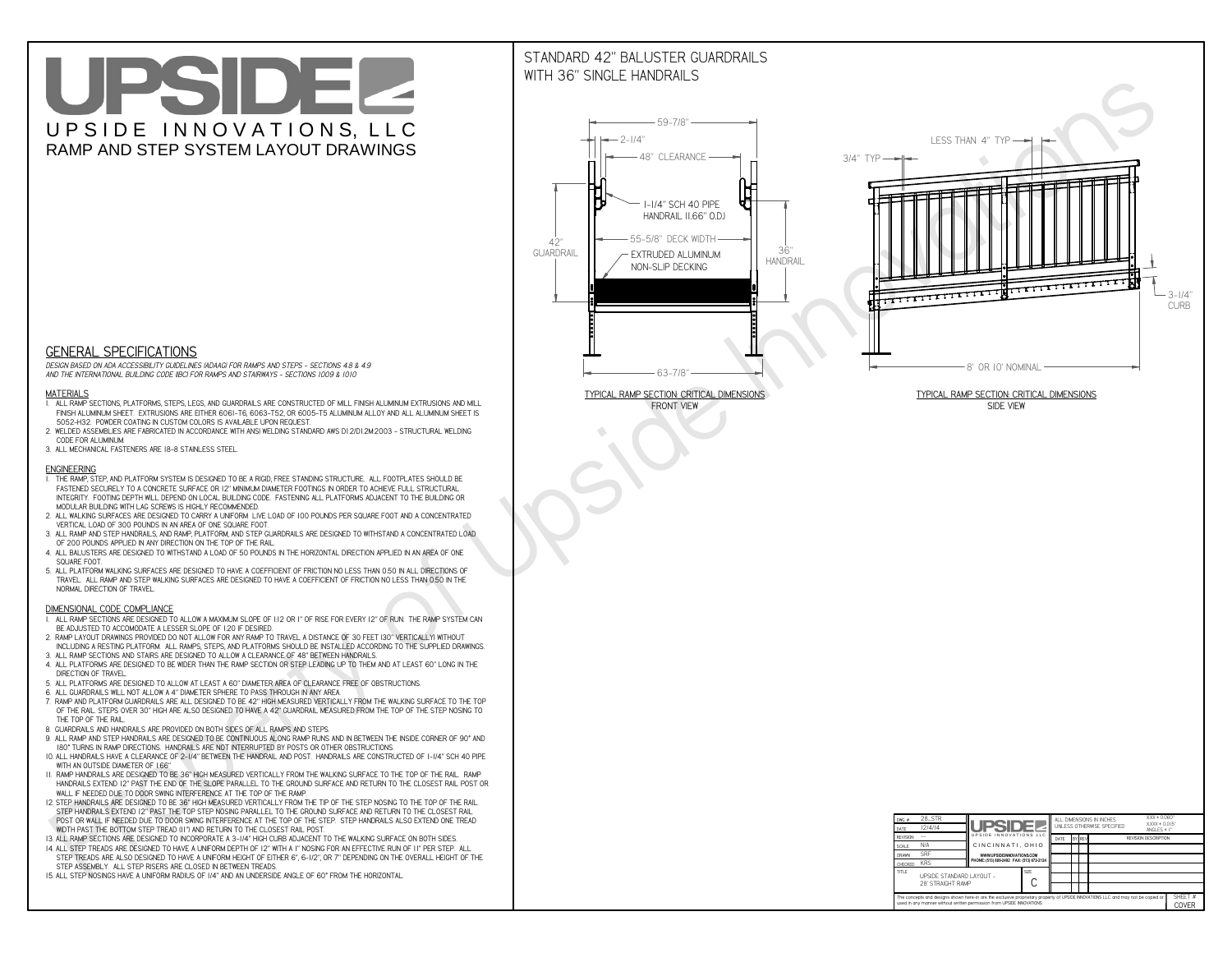# UPSIDEL UPSIDE INNOVATIONS, LLC RAMP AND STEP SYSTEM LAYOUT DRAWINGS

## STANDARD 42" BALUSTER GUARDRAILSWITH 36" SINGLE HANDRAILS

**FRONT VIEW**





**GENERAL SPECIFICATIONS**

 *DESIGN BASED ON ADA ACCESSIBILITY GUIDELINES (ADAAG) FOR RAMPS AND STEPS - SECTIONS 4.8 & 4.9AND THE INTERNATIONAL BUILDING CODE (IBC) FOR RAMPS AND STAIRWAYS - SECTIONS 1009 & 1010*

#### **MATERIALS**

- **1. ALL RAMP SECTIONS, PLATFORMS, STEPS, LEGS, AND GUARDRAILS ARE CONSTRUCTED OF MILL FINISH ALUMINUM EXTRUSIONS AND MILL FINISH ALUMINUM SHEET. EXTRUSIONS ARE EITHER 6061-T6, 6063-T52, OR 6005-T5 ALUMINUM ALLOY AND ALL ALUMINUM SHEET IS 5052-H32. POWDER COATING IN CUSTOM COLORS IS AVAILABLE UPON REQUEST.**
- **2. WELDED ASSEMBLIES ARE FABRICATED IN ACCORDANCE WITH ANSI WELDING STANDARD AWS D1.2/D1.2M:2003 STRUCTURAL WELDING CODE FOR ALUMINUM.**
- **3. ALL MECHANICAL FASTENERS ARE 18-8 STAINLESS STEEL.**

#### **ENGINEERING**

- **1. THE RAMP, STEP, AND PLATFORM SYSTEM IS DESIGNED TO BE A RIGID, FREE STANDING STRUCTURE. ALL FOOTPLATES SHOULD BE FASTENED SECURELY TO A CONCRETE SURFACE OR 12" MINIMUM DIAMETER FOOTINGS IN ORDER TO ACHIEVE FULL STRUCTURAL INTEGRITY. FOOTING DEPTH WILL DEPEND ON LOCAL BUILDING CODE. FASTENING ALL PLATFORMS ADJACENT TO THE BUILDING OR MODULAR BUILDING WITH LAG SCREWS IS HIGHLY RECOMMENDED.**
- **2. ALL WALKING SURFACES ARE DESIGNED TO CARRY A UNIFORM LIVE LOAD OF 100 POUNDS PER SQUARE FOOT AND A CONCENTRATED VERTICAL LOAD OF 300 POUNDS IN AN AREA OF ONE SQUARE FOOT.**
- **3. ALL RAMP AND STEP HANDRAILS, AND RAMP, PLATFORM, AND STEP GUARDRAILS ARE DESIGNED TO WITHSTAND A CONCENTRATED LOAD OF 200 POUNDS APPLIED IN ANY DIRECTION ON THE TOP OF THE RAIL.**
- **4. ALL BALUSTERS ARE DESIGNED TO WITHSTAND A LOAD OF 50 POUNDS IN THE HORIZONTAL DIRECTION APPLIED IN AN AREA OF ONE SQUARE FOOT.**
- **5. ALL PLATFORM WALKING SURFACES ARE DESIGNED TO HAVE A COEFFICIENT OF FRICTION NO LESS THAN 0.50 IN ALL DIRECTIONS OF TRAVEL. ALL RAMP AND STEP WALKING SURFACES ARE DESIGNED TO HAVE A COEFFICIENT OF FRICTION NO LESS THAN 0.50 IN THE NORMAL DIRECTION OF TRAVEL.**

| $DWG.$ #                                                                                                                                                                                                    | 28_STR                                        |                                           |  |                                               |  |  | ALL DIMENSIONS IN INCHES | $XXX = 0.060"$<br>$XXX \pm 0.015$ " |  |
|-------------------------------------------------------------------------------------------------------------------------------------------------------------------------------------------------------------|-----------------------------------------------|-------------------------------------------|--|-----------------------------------------------|--|--|--------------------------|-------------------------------------|--|
| DATE                                                                                                                                                                                                        | 12/4/14                                       | <b>UPSIDEZ</b><br>UPSIDE INNOVATIONS LLC  |  | UNLESS OTHERWISE SPECIFIED<br>ANGLES $\pm$ 1° |  |  |                          |                                     |  |
| <b>REVISION</b>                                                                                                                                                                                             |                                               |                                           |  | BY REV<br>DATE                                |  |  |                          | <b>REVISION DESCRIPTION</b>         |  |
| <b>SCALE</b>                                                                                                                                                                                                | N/A                                           | CINCINNATI, OHIO                          |  |                                               |  |  |                          |                                     |  |
| <b>DRAWN</b>                                                                                                                                                                                                | <b>SRF</b>                                    | WWW.UPSIDEINNOVATIONS.COM                 |  |                                               |  |  |                          |                                     |  |
| <b>CHECKED</b>                                                                                                                                                                                              | <b>KRS</b>                                    | PHONE: (513) 889-2492 FAX: (513) 672-2124 |  |                                               |  |  |                          |                                     |  |
| <b>TITLE</b>                                                                                                                                                                                                | UPSIDE STANDARD LAYOUT -<br>28' STRAIGHT RAMP | <b>SIZE</b>                               |  |                                               |  |  |                          |                                     |  |
| The concepts and designs shown here-in are the exclusive proprietary property of UPSIDE INNOVATIONS LLC. and may not be copied or<br>used in any manner without written permission from UPSIDE INNOVATIONS. |                                               |                                           |  |                                               |  |  |                          | SHEET #<br>COVER                    |  |

### **DIMENSIONAL CODE COMPLIANCE**

- **1. ALL RAMP SECTIONS ARE DESIGNED TO ALLOW A MAXIMUM SLOPE OF 1:12 OR 1" OF RISE FOR EVERY 12" OF RUN. THE RAMP SYSTEM CAN BE ADJUSTED TO ACCOMODATE A LESSER SLOPE OF 1:20 IF DESIRED.**
- **2. RAMP LAYOUT DRAWINGS PROVIDED DO NOT ALLOW FOR ANY RAMP TO TRAVEL A DISTANCE OF 30 FEET (30" VERTICALLY) WITHOUT INCLUDING A RESTING PLATFORM. ALL RAMPS, STEPS, AND PLATFORMS SHOULD BE INSTALLED ACCORDING TO THE SUPPLIED DRAWINGS.**
- **3. ALL RAMP SECTIONS AND STAIRS ARE DESIGNED TO ALLOW A CLEARANCE OF 48" BETWEEN HANDRAILS.**
- **4. ALL PLATFORMS ARE DESIGNED TO BE WIDER THAN THE RAMP SECTION OR STEP LEADING UP TO THEM AND AT LEAST 60" LONG IN THE DIRECTION OF TRAVEL.**
- **5. ALL PLATFORMS ARE DESIGNED TO ALLOW AT LEAST A 60" DIAMETER AREA OF CLEARANCE FREE OF OBSTRUCTIONS.**
- **6. ALL GUARDRAILS WILL NOT ALLOW A 4" DIAMETER SPHERE TO PASS THROUGH IN ANY AREA.**
- **7. RAMP AND PLATFORM GUARDRAILS ARE ALL DESIGNED TO BE 42" HIGH MEASURED VERTICALLY FROM THE WALKING SURFACE TO THE TOP OF THE RAIL. STEPS OVER 30" HIGH ARE ALSO DESIGNED TO HAVE A 42" GUARDRAIL MEASURED FROM THE TOP OF THE STEP NOSING TO THE TOP OF THE RAIL.**
- **8. GUARDRAILS AND HANDRAILS ARE PROVIDED ON BOTH SIDES OF ALL RAMPS AND STEPS.**
- **9. ALL RAMP AND STEP HANDRAILS ARE DESIGNED TO BE CONTINUOUS ALONG RAMP RUNS AND IN BETWEEN THE INSIDE CORNER OF 90° AND 180° TURNS IN RAMP DIRECTIONS. HANDRAILS ARE NOT INTERRUPTED BY POSTS OR OTHER OBSTRUCTIONS.**
- **10. ALL HANDRAILS HAVE A CLEARANCE OF 2-1/4" BETWEEN THE HANDRAIL AND POST. HANDRAILS ARE CONSTRUCTED OF 1-1/4" SCH 40 PIPE WITH AN OUTSIDE DIAMETER OF 1.66"**
- **11. RAMP HANDRAILS ARE DESIGNED TO BE 36" HIGH MEASURED VERTICALLY FROM THE WALKING SURFACE TO THE TOP OF THE RAIL. RAMP HANDRAILS EXTEND 12" PAST THE END OF THE SLOPE PARALLEL TO THE GROUND SURFACE AND RETURN TO THE CLOSEST RAIL POST OR WALL IF NEEDED DUE TO DOOR SWING INTERFERENCE AT THE TOP OF THE RAMP.**
- **12. STEP HANDRAILS ARE DESIGNED TO BE 36" HIGH MEASURED VERTICALLY FROM THE TIP OF THE STEP NOSING TO THE TOP OF THE RAIL. STEP HANDRAILS EXTEND 12" PAST THE TOP STEP NOSING PARALLEL TO THE GROUND SURFACE AND RETURN TO THE CLOSEST RAIL POST OR WALL IF NEEDED DUE TO DOOR SWING INTERFERENCE AT THE TOP OF THE STEP. STEP HANDRAILS ALSO EXTEND ONE TREAD**
- **WIDTH PAST THE BOTTOM STEP TREAD (11") AND RETURN TO THE CLOSEST RAIL POST.**
- **13. ALL RAMP SECTIONS ARE DESIGNED TO INCORPORATE A 3-1/4" HIGH CURB ADJACENT TO THE WALKING SURFACE ON BOTH SIDES.**
- **14. ALL STEP TREADS ARE DESIGNED TO HAVE A UNIFORM DEPTH OF 12" WITH A 1" NOSING FOR AN EFFECTIVE RUN OF 11" PER STEP. ALL STEP TREADS ARE ALSO DESIGNED TO HAVE A UNIFORM HEIGHT OF EITHER 6", 6-1/2", OR 7" DEPENDING ON THE OVERALL HEIGHT OF THE STEP ASSEMBLY. ALL STEP RISERS ARE CLOSED IN BETWEEN TREADS.**
- **15. ALL STEP NOSINGS HAVE A UNIFORM RADIUS OF 1/4" AND AN UNDERSIDE ANGLE OF 60° FROM THE HORIZONTAL.**